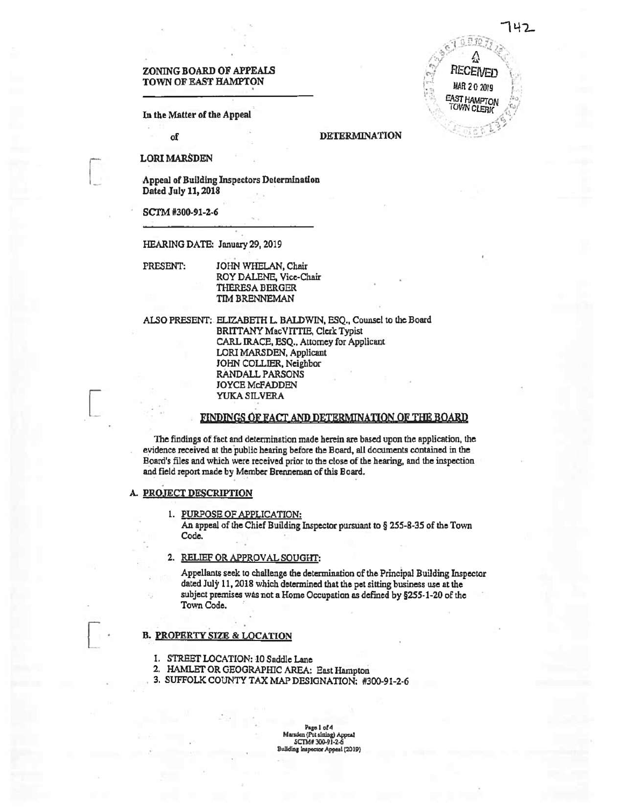RЕ

**TOWN CLERK** 

# zoning BOARD OF APPEALS TOWN OF EAST HAMPTON MAR 20 2019

In the Matter of the Appeal

## of DETERMINATION

LORI MARSDEN

Appeal of Building Inspectors Determination Dated July 11,2018

SCTM #300-91-2-6

HEARING DATE: January 29,2019

PRESENT: JOHN WHELAN, Chair ROY DALENE, Vice-Chair THERESA BERGER TIM BRENNEMAN

ALSO PRESENT: ELIZABETH L. BALDWIN, ESQ., Counsel to the Board BRITTANY MacVITTIE, Clerk Typist CARL IRACE, ESQ., Attorney for Applicant LORI MARSDEN, Applicant JOHN COLLIER, Neighbor RANDALL PARSONS JOYCE McFADDEN YUKA SILVERA

## FINDINGS OF FACT AND DETERMINATION OF THE BOARD

The findings offact and determination made herein are based upon the application, the evidence received at the public hearing before the Board, all documents contained in the Board's files and which were received prior to the close of the hearing, and the inspection and field report made by Member Brenneman of this Board.

#### A. PROJECT DESCRIPTION

1. PURPOSE OF APPLICATION: An appeal of the Chief Building Inspector pursuant to  $\S 255-8-35$  of the Town Code.

## 2. RELIEF OR APPROVAL SOUGHT:

Appellants seek to challenge the determination of the Principal Building Inspector dated July 11,2018 which determined that the pet sitting business use at the subject premises was not a Home Occupation as defined by §255-1-20 of the Town Code.

## B. PROPERTY SIZE & LOCATION

- 1. STREET LOCATION: 10 Saddle Lane
- 2. HAMLET OR GEOGRAPHIC AREA: East Hampton
- 3. SUFFOLK COUNTY TAX MAP DESIGNATION: #300-91-2-6

Page 1 of 4<br>Marsden (Pet sitting) Appeal SCTM#300-91-2-4<br>Building Inspector Appen or Appeal (2019)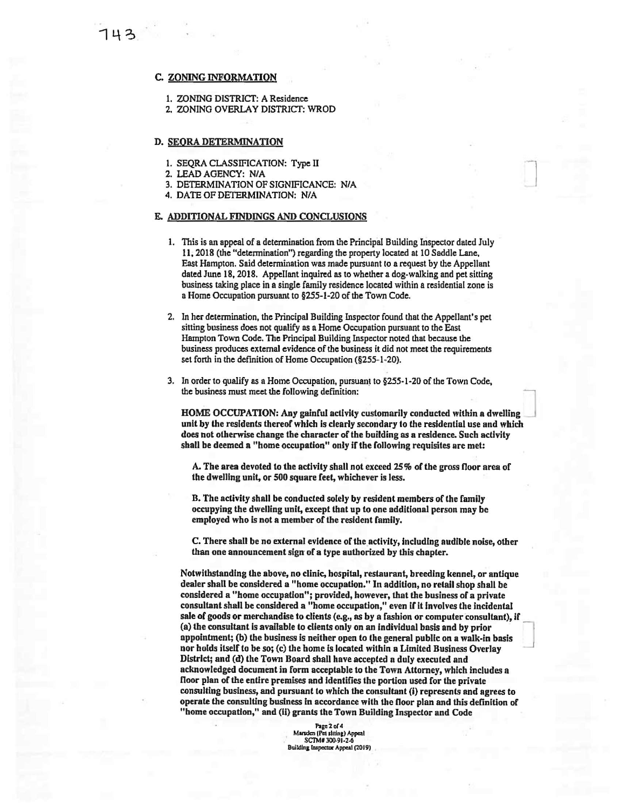## C. ZONING INFORMATION

- 1. ZONING DISTRICT: A Residence
- 2. ZONING OVERLAY DISTRICT: WROD

#### D. SEORA DETERMINATION

- 1. SEQRA CLASSIFICATION: Type II
- 2. LEAD AGENCY: N/A
- 3. DETERMINATION OF SIGNIFICANCE: N/A
- 4. DATE OF DETERMINATION: N/A

#### E. ADDITIONAL FINDINGS AND CONCLUSIONS

- 1. This is an appeal of a determination from the Principal Building Inspector dated July 11,2018 (the "determination") regarding the property located at 10 Saddle Lane, East Hampton. Said determination was made pursuant to a request by the Appellant dated June 18, 2018. Appellant inquired as to whether a dog-walking and pet sitting business taking place in a single family residence located within a residential zone is a Home Occupation pursuant to §255-1-20 of the Town Code.
- 2. In her determination, the Principal Building Inspector found that the Appellant's pet sitting business does not qualify as a Home Occupation pursuant to the East Hampton Town Code. The Principal Building Inspector noted that because the business produces external evidence of the business it did not meet the requirements set forth in the definition of Home Occupation (§255-1-20).
- 3. In order to qualify as a Home Occupation, pursuant to §255-1-20 of the Town Code, the business must meet the following definition:

HOME OCCUPATION: Any gainful activity customarily conducted within a dwelling unit by the residents thereof which is clearly secondary to the residential use and which does not otherwise change the character of the building as a residence. Such activity shall be deemed a "home occupation" only if the following requisites are met:

A. The area devoted to the activity shall not exceed 25% of the gross floor area of the dwelling unit, or 500 square feet, whichever is less.

B. The activity shall be conducted solely by resident members of the family occupying the dwelling unit, except that up to one additional person may be employed who is not a member of the resident family.

C. There shall be no external evidence of the activity, including audible noise, other than one announcement sign of a type authorized by this chapter.

Notwithstanding the above, no clinic, hospital, restaurant, breeding kennel, or antique dealer shall be considered a "home occupation." In addition, no retail shop shall be considered a "home occupation"; provided, however, that the business of a private consultant shall be considered a "home occupation," even if it involves the incidental sale of goods or merchandise to clients (e.g., as by a fashion or computer consultant), if (a) the consultant is available to clients only on an individual basis and by prior appointment; (b) the business is neither open to the general public on a walk-in basis nor holds itself to be so; (c) the home is located within a Limited Business Overlay District; and (d) the Town Board shall have accepted a duly executed and acknowledged document in form acceptable to the Town Attorney, which includes a floor plan of the entire premises and identifies the portion used for the private consulting business, and pursuant to which the consultant (i) represents and agrees to operate the consulting business in accordance with the floor plan and this definition of "home occupation," and (ii) grants the Town Building Inspector and Code

> Page 2 of 4 Marsden (Pet sliting) Appeal SCTM# 300-91-2-6 Building inspector Appeal (2019)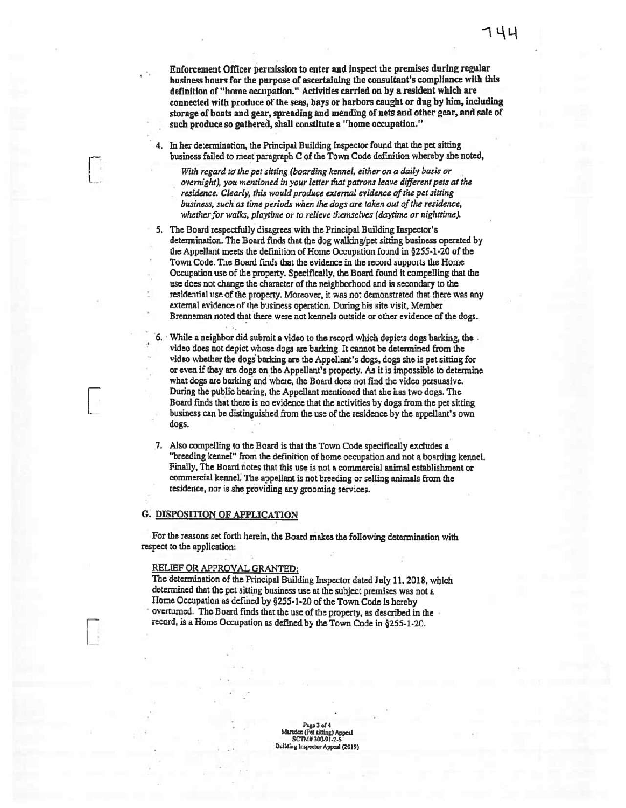Enforcement Officer permission to enter and inspect the premises during regular business hours for the purpose of ascertaining the consultant's compliance with this definition of "home occupation." Activities carried on by a resident which are connected with produce of the seas, bays or harbors caught or dug by him, including storage of boats and gear, spreading and mending of nets and other gear, and sale of such produce so gathered, shall constitute a "home occupation."

In her determination, the Principal Building Inspector found that the pet sitting business failed to meet paragraph C of the Town Code definition whereby she noted,

With *regard to the petsitting (boarding kennel, either on a daily basis or overnight), you mentioned in your letter thatpatrons leave different pets at the residence. Clearly, this would produce external evidence ofthe petsitting business, such as time periods when the dogs are taken out ofthe residence, whether for walks, playtime or to relieve themselves (daytime or nighttime).* 

5. The Board respectfully disagrees with the Principal Building Inspector's determination. The Board fmds that the dog walking/pet sitring business operated by the Appellant meets the definition of Home Occupation found in §255-1-20 of the Town Code. The Board finds that the evidence in the record supports the Home Occupation use of the property. Specifically, the Board found it compelling that the use does not change the character of the neighborhood and is secondary to the residential use of the property. Moreover, it was not demonstrated that there was any external evidence of the business operation. During his site visit, Member Brenneman noted that there were not kennels outside or other evidence of the dogs.

6. While a neighbor did submit a video to the record which depicts dogs barking, the video does not depict whose dogs are barking. It cannot be determined from the video whether the dogs barking are the Appellant's dogs, dogs she is pet sitting for or even if they are dogs on the Appellant's property. As it is impossible to determine what dogs are barking and where, the Board does not find the video persuasive. During the public hearing, the Appellant mentioned that she has two dogs. The Board finds that there is no evidence that the activities by dogs from the pet sitting business can be distinguished from the use of the residence by the appellant's own dogs.

7. Also compelling to the Board is that the Town Code specifically excludes a "breeding kennel" from the definition of home occupation and not a boarding kennel. Finally, The Board notes that this use is not a commercial animal establishment or commercial kennel. The appellant is not breeding orselling animals from the residence, nor is she providing any grooming services.

#### G. DISPOSITION OF APPLICATION

For the reasons set forth herein, the Board makes the following determination with respect to the application:

## RELIEF OR APPROVAL GRANTED:

The determination of the Principal Building Inspector dated July 11, 2018, which determined that the pet sitting business use at the subject premises was not a Home Occupation as defined by §255-1-20 of the Town Code is hereby overturned. The Board finds that the use of the property, as described in the record, is a Home Occupation as defined by the Town Code in §255-1-20.

> Pago 3 of 4 Marsden (Pet sitting) SCTM# 300-91-2-6 tor Appeal (2019)